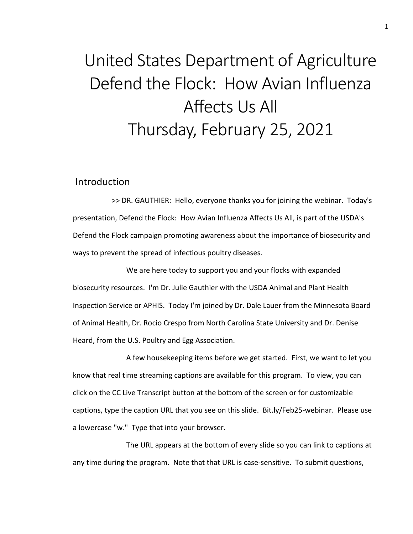# United States Department of Agriculture Defend the Flock: How Avian Influenza Affects Us All Thursday, February 25, 2021

#### Introduction

>> DR. GAUTHIER: Hello, everyone thanks you for joining the webinar. Today's presentation, Defend the Flock: How Avian Influenza Affects Us All, is part of the USDA's Defend the Flock campaign promoting awareness about the importance of biosecurity and ways to prevent the spread of infectious poultry diseases.

We are here today to support you and your flocks with expanded biosecurity resources. I'm Dr. Julie Gauthier with the USDA Animal and Plant Health Inspection Service or APHIS. Today I'm joined by Dr. Dale Lauer from the Minnesota Board of Animal Health, Dr. Rocio Crespo from North Carolina State University and Dr. Denise Heard, from the U.S. Poultry and Egg Association.

A few housekeeping items before we get started. First, we want to let you know that real time streaming captions are available for this program. To view, you can click on the CC Live Transcript button at the bottom of the screen or for customizable captions, type the caption URL that you see on this slide. Bit.ly/Feb25-webinar. Please use a lowercase "w." Type that into your browser.

The URL appears at the bottom of every slide so you can link to captions at any time during the program. Note that that URL is case-sensitive. To submit questions,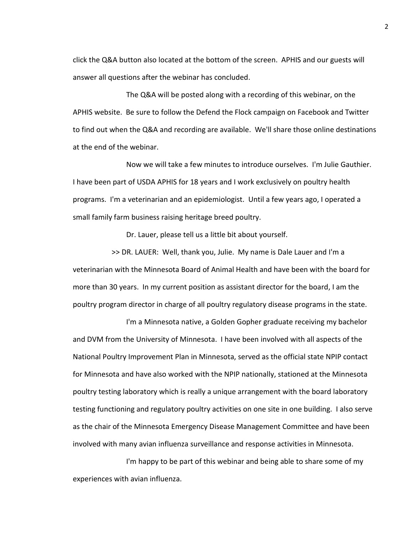click the Q&A button also located at the bottom of the screen. APHIS and our guests will answer all questions after the webinar has concluded.

The Q&A will be posted along with a recording of this webinar, on the APHIS website. Be sure to follow the Defend the Flock campaign on Facebook and Twitter to find out when the Q&A and recording are available. We'll share those online destinations at the end of the webinar.

Now we will take a few minutes to introduce ourselves. I'm Julie Gauthier. I have been part of USDA APHIS for 18 years and I work exclusively on poultry health programs. I'm a veterinarian and an epidemiologist. Until a few years ago, I operated a small family farm business raising heritage breed poultry.

Dr. Lauer, please tell us a little bit about yourself.

>> DR. LAUER: Well, thank you, Julie. My name is Dale Lauer and I'm a veterinarian with the Minnesota Board of Animal Health and have been with the board for more than 30 years. In my current position as assistant director for the board, I am the poultry program director in charge of all poultry regulatory disease programs in the state.

I'm a Minnesota native, a Golden Gopher graduate receiving my bachelor and DVM from the University of Minnesota. I have been involved with all aspects of the National Poultry Improvement Plan in Minnesota, served as the official state NPIP contact for Minnesota and have also worked with the NPIP nationally, stationed at the Minnesota poultry testing laboratory which is really a unique arrangement with the board laboratory testing functioning and regulatory poultry activities on one site in one building. I also serve as the chair of the Minnesota Emergency Disease Management Committee and have been involved with many avian influenza surveillance and response activities in Minnesota.

I'm happy to be part of this webinar and being able to share some of my experiences with avian influenza.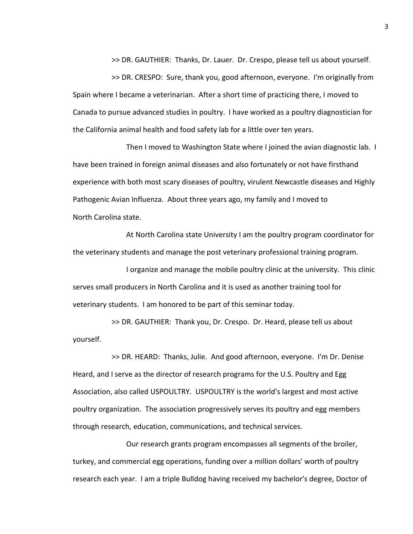>> DR. GAUTHIER: Thanks, Dr. Lauer. Dr. Crespo, please tell us about yourself.

>> DR. CRESPO: Sure, thank you, good afternoon, everyone. I'm originally from Spain where I became a veterinarian. After a short time of practicing there, I moved to Canada to pursue advanced studies in poultry. I have worked as a poultry diagnostician for the California animal health and food safety lab for a little over ten years.

Then I moved to Washington State where I joined the avian diagnostic lab. I have been trained in foreign animal diseases and also fortunately or not have firsthand experience with both most scary diseases of poultry, virulent Newcastle diseases and Highly Pathogenic Avian Influenza. About three years ago, my family and I moved to North Carolina state.

At North Carolina state University I am the poultry program coordinator for the veterinary students and manage the post veterinary professional training program.

I organize and manage the mobile poultry clinic at the university. This clinic serves small producers in North Carolina and it is used as another training tool for veterinary students. I am honored to be part of this seminar today.

>> DR. GAUTHIER: Thank you, Dr. Crespo. Dr. Heard, please tell us about yourself.

>> DR. HEARD: Thanks, Julie. And good afternoon, everyone. I'm Dr. Denise Heard, and I serve as the director of research programs for the U.S. Poultry and Egg Association, also called USPOULTRY. USPOULTRY is the world's largest and most active poultry organization. The association progressively serves its poultry and egg members through research, education, communications, and technical services.

Our research grants program encompasses all segments of the broiler, turkey, and commercial egg operations, funding over a million dollars' worth of poultry research each year. I am a triple Bulldog having received my bachelor's degree, Doctor of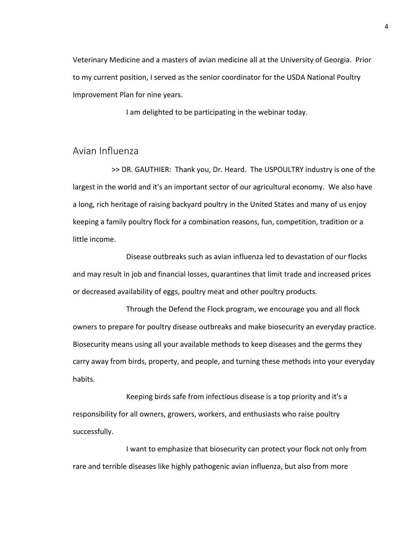Veterinary Medicine and a masters of avian medicine all at the University of Georgia. Prior to my current position, I served as the senior coordinator for the USDA National Poultry Improvement Plan for nine years.

I am delighted to be participating in the webinar today.

### Avian Influenza

>> DR. GAUTHIER: Thank you, Dr. Heard. The USPOULTRY industry is one of the largest in the world and it's an important sector of our agricultural economy. We also have a long, rich heritage of raising backyard poultry in the United States and many of us enjoy keeping a family poultry flock for a combination reasons, fun, competition, tradition or a little income.

Disease outbreaks such as avian influenza led to devastation of our flocks and may result in job and financial losses, quarantines that limit trade and increased prices or decreased availability of eggs, poultry meat and other poultry products.

Through the Defend the Flock program, we encourage you and all flock owners to prepare for poultry disease outbreaks and make biosecurity an everyday practice. Biosecurity means using all your available methods to keep diseases and the germs they carry away from birds, property, and people, and turning these methods into your everyday habits.

Keeping birds safe from infectious disease is a top priority and it's a responsibility for all owners, growers, workers, and enthusiasts who raise poultry successfully.

I want to emphasize that biosecurity can protect your flock not only from rare and terrible diseases like highly pathogenic avian influenza, but also from more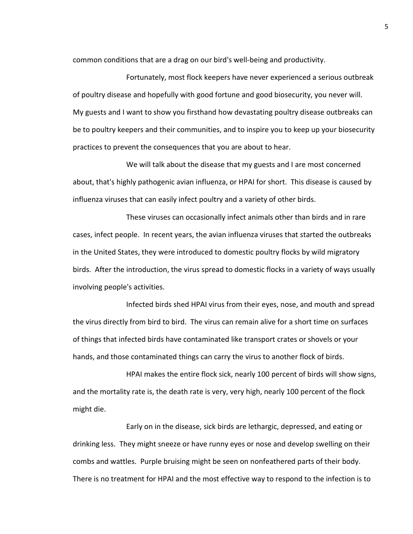common conditions that are a drag on our bird's well-being and productivity.

Fortunately, most flock keepers have never experienced a serious outbreak of poultry disease and hopefully with good fortune and good biosecurity, you never will. My guests and I want to show you firsthand how devastating poultry disease outbreaks can be to poultry keepers and their communities, and to inspire you to keep up your biosecurity practices to prevent the consequences that you are about to hear.

We will talk about the disease that my guests and I are most concerned about, that's highly pathogenic avian influenza, or HPAI for short. This disease is caused by influenza viruses that can easily infect poultry and a variety of other birds.

These viruses can occasionally infect animals other than birds and in rare cases, infect people. In recent years, the avian influenza viruses that started the outbreaks in the United States, they were introduced to domestic poultry flocks by wild migratory birds. After the introduction, the virus spread to domestic flocks in a variety of ways usually involving people's activities.

Infected birds shed HPAI virus from their eyes, nose, and mouth and spread the virus directly from bird to bird. The virus can remain alive for a short time on surfaces of things that infected birds have contaminated like transport crates or shovels or your hands, and those contaminated things can carry the virus to another flock of birds.

HPAI makes the entire flock sick, nearly 100 percent of birds will show signs, and the mortality rate is, the death rate is very, very high, nearly 100 percent of the flock might die.

Early on in the disease, sick birds are lethargic, depressed, and eating or drinking less. They might sneeze or have runny eyes or nose and develop swelling on their combs and wattles. Purple bruising might be seen on nonfeathered parts of their body. There is no treatment for HPAI and the most effective way to respond to the infection is to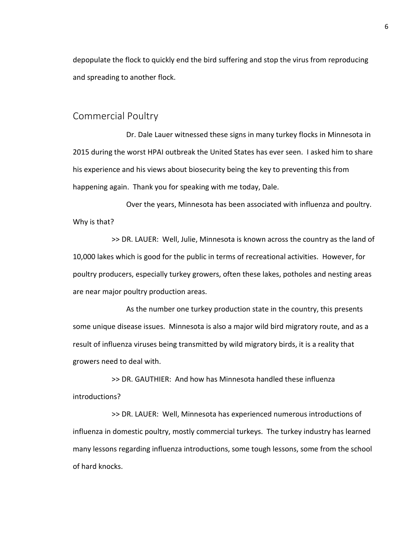depopulate the flock to quickly end the bird suffering and stop the virus from reproducing and spreading to another flock.

#### Commercial Poultry

Dr. Dale Lauer witnessed these signs in many turkey flocks in Minnesota in 2015 during the worst HPAI outbreak the United States has ever seen. I asked him to share his experience and his views about biosecurity being the key to preventing this from happening again. Thank you for speaking with me today, Dale.

Over the years, Minnesota has been associated with influenza and poultry. Why is that?

>> DR. LAUER: Well, Julie, Minnesota is known across the country as the land of 10,000 lakes which is good for the public in terms of recreational activities. However, for poultry producers, especially turkey growers, often these lakes, potholes and nesting areas are near major poultry production areas.

As the number one turkey production state in the country, this presents some unique disease issues. Minnesota is also a major wild bird migratory route, and as a result of influenza viruses being transmitted by wild migratory birds, it is a reality that growers need to deal with.

>> DR. GAUTHIER: And how has Minnesota handled these influenza introductions?

>> DR. LAUER: Well, Minnesota has experienced numerous introductions of influenza in domestic poultry, mostly commercial turkeys. The turkey industry has learned many lessons regarding influenza introductions, some tough lessons, some from the school of hard knocks.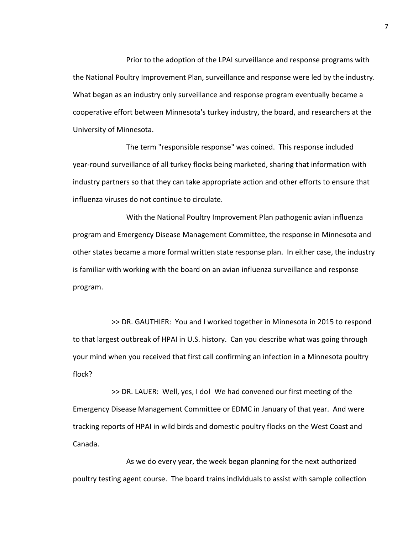Prior to the adoption of the LPAI surveillance and response programs with the National Poultry Improvement Plan, surveillance and response were led by the industry. What began as an industry only surveillance and response program eventually became a cooperative effort between Minnesota's turkey industry, the board, and researchers at the University of Minnesota.

The term "responsible response" was coined. This response included year-round surveillance of all turkey flocks being marketed, sharing that information with industry partners so that they can take appropriate action and other efforts to ensure that influenza viruses do not continue to circulate.

With the National Poultry Improvement Plan pathogenic avian influenza program and Emergency Disease Management Committee, the response in Minnesota and other states became a more formal written state response plan. In either case, the industry is familiar with working with the board on an avian influenza surveillance and response program.

>> DR. GAUTHIER: You and I worked together in Minnesota in 2015 to respond to that largest outbreak of HPAI in U.S. history. Can you describe what was going through your mind when you received that first call confirming an infection in a Minnesota poultry flock?

>> DR. LAUER: Well, yes, I do! We had convened our first meeting of the Emergency Disease Management Committee or EDMC in January of that year. And were tracking reports of HPAI in wild birds and domestic poultry flocks on the West Coast and Canada.

As we do every year, the week began planning for the next authorized poultry testing agent course. The board trains individuals to assist with sample collection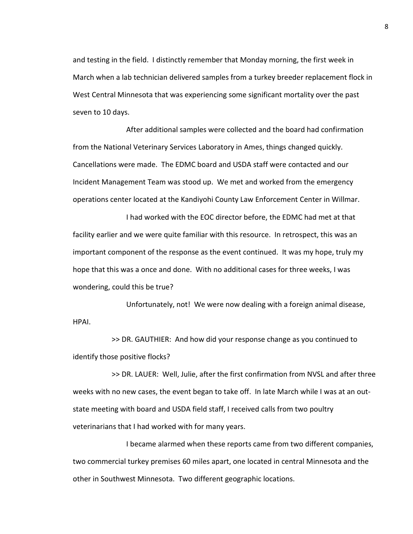and testing in the field. I distinctly remember that Monday morning, the first week in March when a lab technician delivered samples from a turkey breeder replacement flock in West Central Minnesota that was experiencing some significant mortality over the past seven to 10 days.

After additional samples were collected and the board had confirmation from the National Veterinary Services Laboratory in Ames, things changed quickly. Cancellations were made. The EDMC board and USDA staff were contacted and our Incident Management Team was stood up. We met and worked from the emergency operations center located at the Kandiyohi County Law Enforcement Center in Willmar.

I had worked with the EOC director before, the EDMC had met at that facility earlier and we were quite familiar with this resource. In retrospect, this was an important component of the response as the event continued. It was my hope, truly my hope that this was a once and done. With no additional cases for three weeks, I was wondering, could this be true?

Unfortunately, not! We were now dealing with a foreign animal disease, HPAI.

>> DR. GAUTHIER: And how did your response change as you continued to identify those positive flocks?

>> DR. LAUER: Well, Julie, after the first confirmation from NVSL and after three weeks with no new cases, the event began to take off. In late March while I was at an outstate meeting with board and USDA field staff, I received calls from two poultry veterinarians that I had worked with for many years.

I became alarmed when these reports came from two different companies, two commercial turkey premises 60 miles apart, one located in central Minnesota and the other in Southwest Minnesota. Two different geographic locations.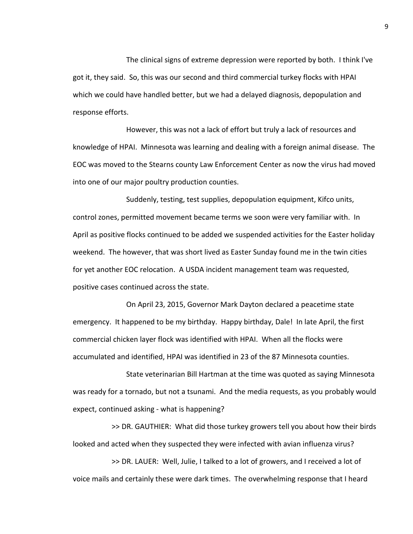The clinical signs of extreme depression were reported by both. I think I've got it, they said. So, this was our second and third commercial turkey flocks with HPAI which we could have handled better, but we had a delayed diagnosis, depopulation and response efforts.

However, this was not a lack of effort but truly a lack of resources and knowledge of HPAI. Minnesota was learning and dealing with a foreign animal disease. The EOC was moved to the Stearns county Law Enforcement Center as now the virus had moved into one of our major poultry production counties.

Suddenly, testing, test supplies, depopulation equipment, Kifco units, control zones, permitted movement became terms we soon were very familiar with. In April as positive flocks continued to be added we suspended activities for the Easter holiday weekend. The however, that was short lived as Easter Sunday found me in the twin cities for yet another EOC relocation. A USDA incident management team was requested, positive cases continued across the state.

On April 23, 2015, Governor Mark Dayton declared a peacetime state emergency. It happened to be my birthday. Happy birthday, Dale! In late April, the first commercial chicken layer flock was identified with HPAI. When all the flocks were accumulated and identified, HPAI was identified in 23 of the 87 Minnesota counties.

State veterinarian Bill Hartman at the time was quoted as saying Minnesota was ready for a tornado, but not a tsunami. And the media requests, as you probably would expect, continued asking - what is happening?

>> DR. GAUTHIER: What did those turkey growers tell you about how their birds looked and acted when they suspected they were infected with avian influenza virus?

>> DR. LAUER: Well, Julie, I talked to a lot of growers, and I received a lot of voice mails and certainly these were dark times. The overwhelming response that I heard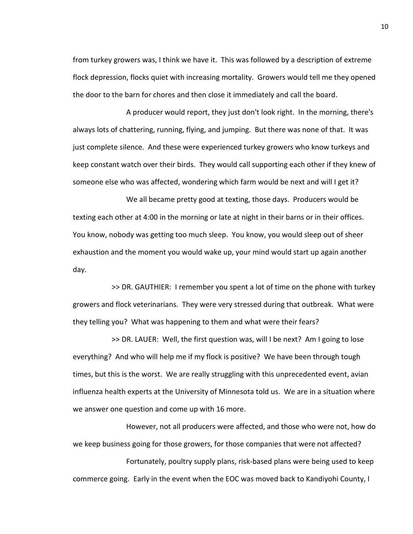from turkey growers was, I think we have it. This was followed by a description of extreme flock depression, flocks quiet with increasing mortality. Growers would tell me they opened the door to the barn for chores and then close it immediately and call the board.

A producer would report, they just don't look right. In the morning, there's always lots of chattering, running, flying, and jumping. But there was none of that. It was just complete silence. And these were experienced turkey growers who know turkeys and keep constant watch over their birds. They would call supporting each other if they knew of someone else who was affected, wondering which farm would be next and will I get it?

We all became pretty good at texting, those days. Producers would be texting each other at 4:00 in the morning or late at night in their barns or in their offices. You know, nobody was getting too much sleep. You know, you would sleep out of sheer exhaustion and the moment you would wake up, your mind would start up again another day.

>> DR. GAUTHIER: I remember you spent a lot of time on the phone with turkey growers and flock veterinarians. They were very stressed during that outbreak. What were they telling you? What was happening to them and what were their fears?

>> DR. LAUER: Well, the first question was, will I be next? Am I going to lose everything? And who will help me if my flock is positive? We have been through tough times, but this is the worst. We are really struggling with this unprecedented event, avian influenza health experts at the University of Minnesota told us. We are in a situation where we answer one question and come up with 16 more.

However, not all producers were affected, and those who were not, how do we keep business going for those growers, for those companies that were not affected?

Fortunately, poultry supply plans, risk-based plans were being used to keep commerce going. Early in the event when the EOC was moved back to Kandiyohi County, I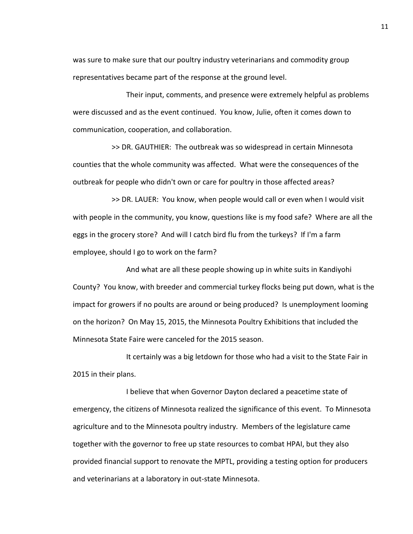was sure to make sure that our poultry industry veterinarians and commodity group representatives became part of the response at the ground level.

Their input, comments, and presence were extremely helpful as problems were discussed and as the event continued. You know, Julie, often it comes down to communication, cooperation, and collaboration.

>> DR. GAUTHIER: The outbreak was so widespread in certain Minnesota counties that the whole community was affected. What were the consequences of the outbreak for people who didn't own or care for poultry in those affected areas?

>> DR. LAUER: You know, when people would call or even when I would visit with people in the community, you know, questions like is my food safe? Where are all the eggs in the grocery store? And will I catch bird flu from the turkeys? If I'm a farm employee, should I go to work on the farm?

And what are all these people showing up in white suits in Kandiyohi County? You know, with breeder and commercial turkey flocks being put down, what is the impact for growers if no poults are around or being produced? Is unemployment looming on the horizon? On May 15, 2015, the Minnesota Poultry Exhibitions that included the Minnesota State Faire were canceled for the 2015 season.

It certainly was a big letdown for those who had a visit to the State Fair in 2015 in their plans.

I believe that when Governor Dayton declared a peacetime state of emergency, the citizens of Minnesota realized the significance of this event. To Minnesota agriculture and to the Minnesota poultry industry. Members of the legislature came together with the governor to free up state resources to combat HPAI, but they also provided financial support to renovate the MPTL, providing a testing option for producers and veterinarians at a laboratory in out-state Minnesota.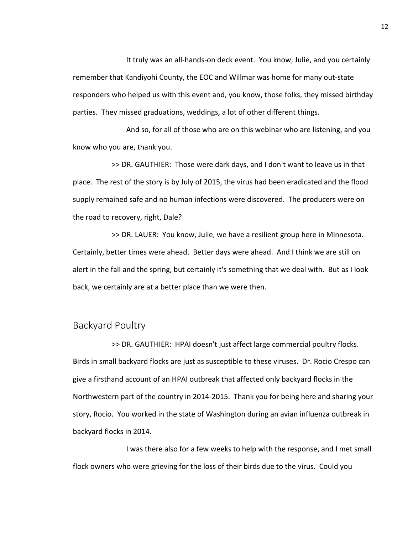It truly was an all-hands-on deck event. You know, Julie, and you certainly remember that Kandiyohi County, the EOC and Willmar was home for many out-state responders who helped us with this event and, you know, those folks, they missed birthday parties. They missed graduations, weddings, a lot of other different things.

And so, for all of those who are on this webinar who are listening, and you know who you are, thank you.

>> DR. GAUTHIER: Those were dark days, and I don't want to leave us in that place. The rest of the story is by July of 2015, the virus had been eradicated and the flood supply remained safe and no human infections were discovered. The producers were on the road to recovery, right, Dale?

>> DR. LAUER: You know, Julie, we have a resilient group here in Minnesota. Certainly, better times were ahead. Better days were ahead. And I think we are still on alert in the fall and the spring, but certainly it's something that we deal with. But as I look back, we certainly are at a better place than we were then.

# Backyard Poultry

>> DR. GAUTHIER: HPAI doesn't just affect large commercial poultry flocks. Birds in small backyard flocks are just as susceptible to these viruses. Dr. Rocio Crespo can give a firsthand account of an HPAI outbreak that affected only backyard flocks in the Northwestern part of the country in 2014-2015. Thank you for being here and sharing your story, Rocio. You worked in the state of Washington during an avian influenza outbreak in backyard flocks in 2014.

I was there also for a few weeks to help with the response, and I met small flock owners who were grieving for the loss of their birds due to the virus. Could you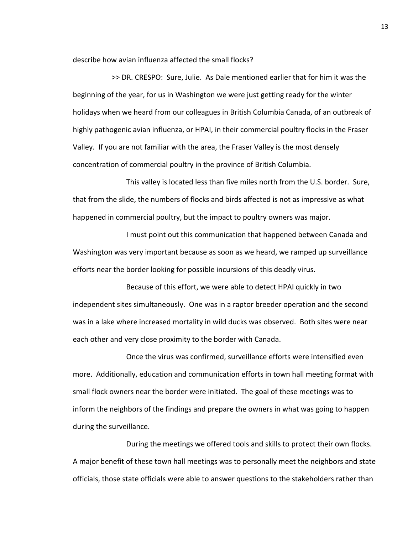describe how avian influenza affected the small flocks?

>> DR. CRESPO: Sure, Julie. As Dale mentioned earlier that for him it was the beginning of the year, for us in Washington we were just getting ready for the winter holidays when we heard from our colleagues in British Columbia Canada, of an outbreak of highly pathogenic avian influenza, or HPAI, in their commercial poultry flocks in the Fraser Valley. If you are not familiar with the area, the Fraser Valley is the most densely concentration of commercial poultry in the province of British Columbia.

This valley is located less than five miles north from the U.S. border. Sure, that from the slide, the numbers of flocks and birds affected is not as impressive as what happened in commercial poultry, but the impact to poultry owners was major.

I must point out this communication that happened between Canada and Washington was very important because as soon as we heard, we ramped up surveillance efforts near the border looking for possible incursions of this deadly virus.

Because of this effort, we were able to detect HPAI quickly in two independent sites simultaneously. One was in a raptor breeder operation and the second was in a lake where increased mortality in wild ducks was observed. Both sites were near each other and very close proximity to the border with Canada.

Once the virus was confirmed, surveillance efforts were intensified even more. Additionally, education and communication efforts in town hall meeting format with small flock owners near the border were initiated. The goal of these meetings was to inform the neighbors of the findings and prepare the owners in what was going to happen during the surveillance.

During the meetings we offered tools and skills to protect their own flocks. A major benefit of these town hall meetings was to personally meet the neighbors and state officials, those state officials were able to answer questions to the stakeholders rather than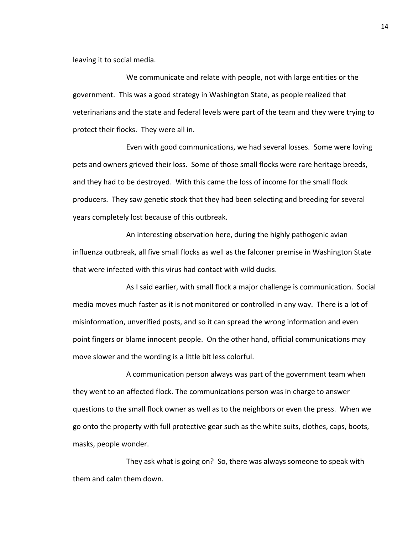leaving it to social media.

We communicate and relate with people, not with large entities or the government. This was a good strategy in Washington State, as people realized that veterinarians and the state and federal levels were part of the team and they were trying to protect their flocks. They were all in.

Even with good communications, we had several losses. Some were loving pets and owners grieved their loss. Some of those small flocks were rare heritage breeds, and they had to be destroyed. With this came the loss of income for the small flock producers. They saw genetic stock that they had been selecting and breeding for several years completely lost because of this outbreak.

An interesting observation here, during the highly pathogenic avian influenza outbreak, all five small flocks as well as the falconer premise in Washington State that were infected with this virus had contact with wild ducks.

As I said earlier, with small flock a major challenge is communication. Social media moves much faster as it is not monitored or controlled in any way. There is a lot of misinformation, unverified posts, and so it can spread the wrong information and even point fingers or blame innocent people. On the other hand, official communications may move slower and the wording is a little bit less colorful.

A communication person always was part of the government team when they went to an affected flock. The communications person was in charge to answer questions to the small flock owner as well as to the neighbors or even the press. When we go onto the property with full protective gear such as the white suits, clothes, caps, boots, masks, people wonder.

They ask what is going on? So, there was always someone to speak with them and calm them down.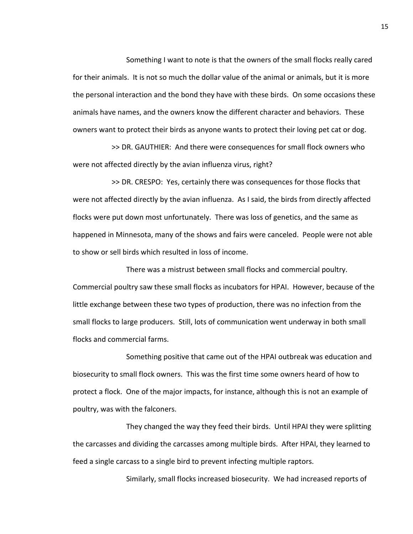Something I want to note is that the owners of the small flocks really cared for their animals. It is not so much the dollar value of the animal or animals, but it is more the personal interaction and the bond they have with these birds. On some occasions these animals have names, and the owners know the different character and behaviors. These owners want to protect their birds as anyone wants to protect their loving pet cat or dog.

>> DR. GAUTHIER: And there were consequences for small flock owners who were not affected directly by the avian influenza virus, right?

>> DR. CRESPO: Yes, certainly there was consequences for those flocks that were not affected directly by the avian influenza. As I said, the birds from directly affected flocks were put down most unfortunately. There was loss of genetics, and the same as happened in Minnesota, many of the shows and fairs were canceled. People were not able to show or sell birds which resulted in loss of income.

There was a mistrust between small flocks and commercial poultry. Commercial poultry saw these small flocks as incubators for HPAI. However, because of the little exchange between these two types of production, there was no infection from the small flocks to large producers. Still, lots of communication went underway in both small flocks and commercial farms.

Something positive that came out of the HPAI outbreak was education and biosecurity to small flock owners. This was the first time some owners heard of how to protect a flock. One of the major impacts, for instance, although this is not an example of poultry, was with the falconers.

They changed the way they feed their birds. Until HPAI they were splitting the carcasses and dividing the carcasses among multiple birds. After HPAI, they learned to feed a single carcass to a single bird to prevent infecting multiple raptors.

Similarly, small flocks increased biosecurity. We had increased reports of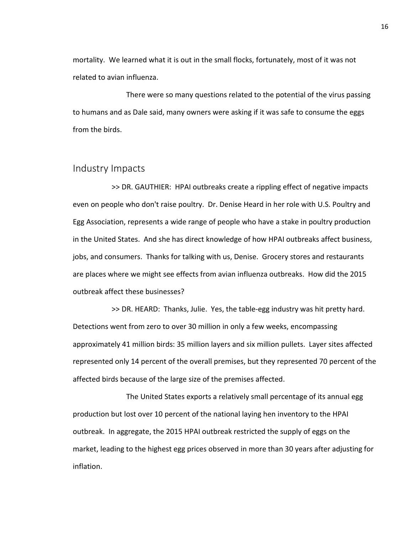mortality. We learned what it is out in the small flocks, fortunately, most of it was not related to avian influenza.

There were so many questions related to the potential of the virus passing to humans and as Dale said, many owners were asking if it was safe to consume the eggs from the birds.

## Industry Impacts

>> DR. GAUTHIER: HPAI outbreaks create a rippling effect of negative impacts even on people who don't raise poultry. Dr. Denise Heard in her role with U.S. Poultry and Egg Association, represents a wide range of people who have a stake in poultry production in the United States. And she has direct knowledge of how HPAI outbreaks affect business, jobs, and consumers. Thanks for talking with us, Denise. Grocery stores and restaurants are places where we might see effects from avian influenza outbreaks. How did the 2015 outbreak affect these businesses?

>> DR. HEARD: Thanks, Julie. Yes, the table-egg industry was hit pretty hard. Detections went from zero to over 30 million in only a few weeks, encompassing approximately 41 million birds: 35 million layers and six million pullets. Layer sites affected represented only 14 percent of the overall premises, but they represented 70 percent of the affected birds because of the large size of the premises affected.

The United States exports a relatively small percentage of its annual egg production but lost over 10 percent of the national laying hen inventory to the HPAI outbreak. In aggregate, the 2015 HPAI outbreak restricted the supply of eggs on the market, leading to the highest egg prices observed in more than 30 years after adjusting for inflation.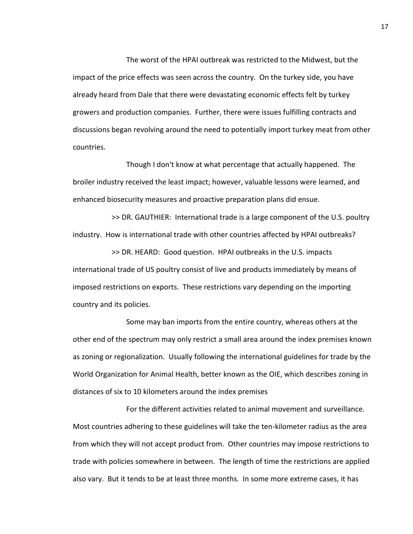The worst of the HPAI outbreak was restricted to the Midwest, but the impact of the price effects was seen across the country. On the turkey side, you have already heard from Dale that there were devastating economic effects felt by turkey growers and production companies. Further, there were issues fulfilling contracts and discussions began revolving around the need to potentially import turkey meat from other countries.

Though I don't know at what percentage that actually happened. The broiler industry received the least impact; however, valuable lessons were learned, and enhanced biosecurity measures and proactive preparation plans did ensue.

>> DR. GAUTHIER: International trade is a large component of the U.S. poultry industry. How is international trade with other countries affected by HPAI outbreaks?

>> DR. HEARD: Good question. HPAI outbreaks in the U.S. impacts international trade of US poultry consist of live and products immediately by means of imposed restrictions on exports. These restrictions vary depending on the importing country and its policies.

Some may ban imports from the entire country, whereas others at the other end of the spectrum may only restrict a small area around the index premises known as zoning or regionalization. Usually following the international guidelines for trade by the World Organization for Animal Health, better known as the OIE, which describes zoning in distances of six to 10 kilometers around the index premises

For the different activities related to animal movement and surveillance. Most countries adhering to these guidelines will take the ten-kilometer radius as the area from which they will not accept product from. Other countries may impose restrictions to trade with policies somewhere in between. The length of time the restrictions are applied also vary. But it tends to be at least three months. In some more extreme cases, it has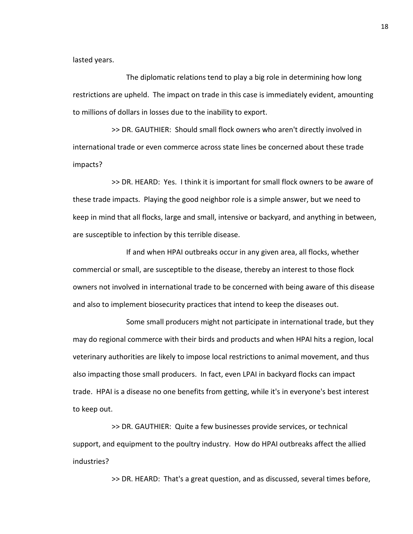lasted years.

The diplomatic relations tend to play a big role in determining how long restrictions are upheld. The impact on trade in this case is immediately evident, amounting to millions of dollars in losses due to the inability to export.

>> DR. GAUTHIER: Should small flock owners who aren't directly involved in international trade or even commerce across state lines be concerned about these trade impacts?

>> DR. HEARD: Yes. I think it is important for small flock owners to be aware of these trade impacts. Playing the good neighbor role is a simple answer, but we need to keep in mind that all flocks, large and small, intensive or backyard, and anything in between, are susceptible to infection by this terrible disease.

If and when HPAI outbreaks occur in any given area, all flocks, whether commercial or small, are susceptible to the disease, thereby an interest to those flock owners not involved in international trade to be concerned with being aware of this disease and also to implement biosecurity practices that intend to keep the diseases out.

Some small producers might not participate in international trade, but they may do regional commerce with their birds and products and when HPAI hits a region, local veterinary authorities are likely to impose local restrictions to animal movement, and thus also impacting those small producers. In fact, even LPAI in backyard flocks can impact trade. HPAI is a disease no one benefits from getting, while it's in everyone's best interest to keep out.

>> DR. GAUTHIER: Quite a few businesses provide services, or technical support, and equipment to the poultry industry. How do HPAI outbreaks affect the allied industries?

>> DR. HEARD: That's a great question, and as discussed, several times before,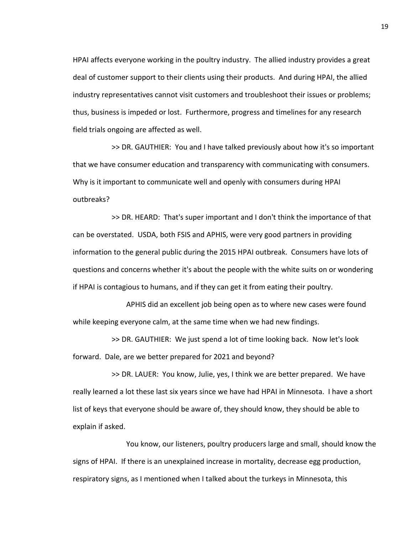HPAI affects everyone working in the poultry industry. The allied industry provides a great deal of customer support to their clients using their products. And during HPAI, the allied industry representatives cannot visit customers and troubleshoot their issues or problems; thus, business is impeded or lost. Furthermore, progress and timelines for any research field trials ongoing are affected as well.

>> DR. GAUTHIER: You and I have talked previously about how it's so important that we have consumer education and transparency with communicating with consumers. Why is it important to communicate well and openly with consumers during HPAI outbreaks?

>> DR. HEARD: That's super important and I don't think the importance of that can be overstated. USDA, both FSIS and APHIS, were very good partners in providing information to the general public during the 2015 HPAI outbreak. Consumers have lots of questions and concerns whether it's about the people with the white suits on or wondering if HPAI is contagious to humans, and if they can get it from eating their poultry.

APHIS did an excellent job being open as to where new cases were found while keeping everyone calm, at the same time when we had new findings.

>> DR. GAUTHIER: We just spend a lot of time looking back. Now let's look forward. Dale, are we better prepared for 2021 and beyond?

>> DR. LAUER: You know, Julie, yes, I think we are better prepared. We have really learned a lot these last six years since we have had HPAI in Minnesota. I have a short list of keys that everyone should be aware of, they should know, they should be able to explain if asked.

You know, our listeners, poultry producers large and small, should know the signs of HPAI. If there is an unexplained increase in mortality, decrease egg production, respiratory signs, as I mentioned when I talked about the turkeys in Minnesota, this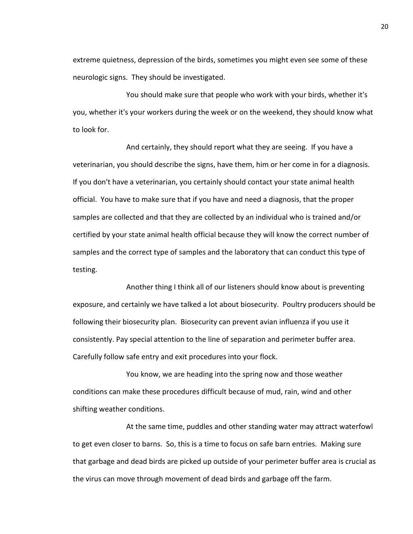extreme quietness, depression of the birds, sometimes you might even see some of these neurologic signs. They should be investigated.

You should make sure that people who work with your birds, whether it's you, whether it's your workers during the week or on the weekend, they should know what to look for.

And certainly, they should report what they are seeing. If you have a veterinarian, you should describe the signs, have them, him or her come in for a diagnosis. If you don't have a veterinarian, you certainly should contact your state animal health official. You have to make sure that if you have and need a diagnosis, that the proper samples are collected and that they are collected by an individual who is trained and/or certified by your state animal health official because they will know the correct number of samples and the correct type of samples and the laboratory that can conduct this type of testing.

Another thing I think all of our listeners should know about is preventing exposure, and certainly we have talked a lot about biosecurity. Poultry producers should be following their biosecurity plan. Biosecurity can prevent avian influenza if you use it consistently. Pay special attention to the line of separation and perimeter buffer area. Carefully follow safe entry and exit procedures into your flock.

You know, we are heading into the spring now and those weather conditions can make these procedures difficult because of mud, rain, wind and other shifting weather conditions.

At the same time, puddles and other standing water may attract waterfowl to get even closer to barns. So, this is a time to focus on safe barn entries. Making sure that garbage and dead birds are picked up outside of your perimeter buffer area is crucial as the virus can move through movement of dead birds and garbage off the farm.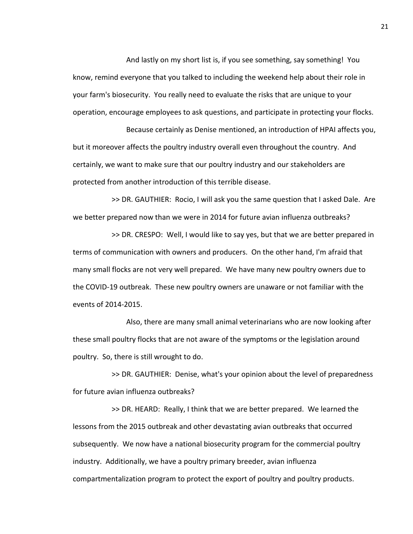And lastly on my short list is, if you see something, say something! You know, remind everyone that you talked to including the weekend help about their role in your farm's biosecurity. You really need to evaluate the risks that are unique to your operation, encourage employees to ask questions, and participate in protecting your flocks.

Because certainly as Denise mentioned, an introduction of HPAI affects you, but it moreover affects the poultry industry overall even throughout the country. And certainly, we want to make sure that our poultry industry and our stakeholders are protected from another introduction of this terrible disease.

>> DR. GAUTHIER: Rocio, I will ask you the same question that I asked Dale. Are we better prepared now than we were in 2014 for future avian influenza outbreaks?

>> DR. CRESPO: Well, I would like to say yes, but that we are better prepared in terms of communication with owners and producers. On the other hand, I'm afraid that many small flocks are not very well prepared. We have many new poultry owners due to the COVID-19 outbreak. These new poultry owners are unaware or not familiar with the events of 2014-2015.

Also, there are many small animal veterinarians who are now looking after these small poultry flocks that are not aware of the symptoms or the legislation around poultry. So, there is still wrought to do.

>> DR. GAUTHIER: Denise, what's your opinion about the level of preparedness for future avian influenza outbreaks?

>> DR. HEARD: Really, I think that we are better prepared. We learned the lessons from the 2015 outbreak and other devastating avian outbreaks that occurred subsequently. We now have a national biosecurity program for the commercial poultry industry. Additionally, we have a poultry primary breeder, avian influenza compartmentalization program to protect the export of poultry and poultry products.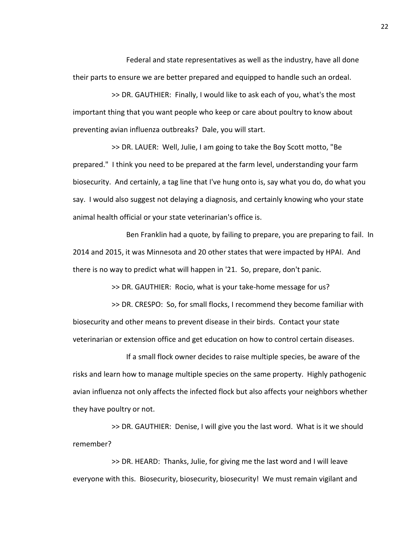Federal and state representatives as well as the industry, have all done their parts to ensure we are better prepared and equipped to handle such an ordeal.

>> DR. GAUTHIER: Finally, I would like to ask each of you, what's the most important thing that you want people who keep or care about poultry to know about preventing avian influenza outbreaks? Dale, you will start.

>> DR. LAUER: Well, Julie, I am going to take the Boy Scott motto, "Be prepared." I think you need to be prepared at the farm level, understanding your farm biosecurity. And certainly, a tag line that I've hung onto is, say what you do, do what you say. I would also suggest not delaying a diagnosis, and certainly knowing who your state animal health official or your state veterinarian's office is.

Ben Franklin had a quote, by failing to prepare, you are preparing to fail. In 2014 and 2015, it was Minnesota and 20 other states that were impacted by HPAI. And there is no way to predict what will happen in '21. So, prepare, don't panic.

>> DR. GAUTHIER: Rocio, what is your take-home message for us?

>> DR. CRESPO: So, for small flocks, I recommend they become familiar with biosecurity and other means to prevent disease in their birds. Contact your state veterinarian or extension office and get education on how to control certain diseases.

If a small flock owner decides to raise multiple species, be aware of the risks and learn how to manage multiple species on the same property. Highly pathogenic avian influenza not only affects the infected flock but also affects your neighbors whether they have poultry or not.

>> DR. GAUTHIER: Denise, I will give you the last word. What is it we should remember?

>> DR. HEARD: Thanks, Julie, for giving me the last word and I will leave everyone with this. Biosecurity, biosecurity, biosecurity! We must remain vigilant and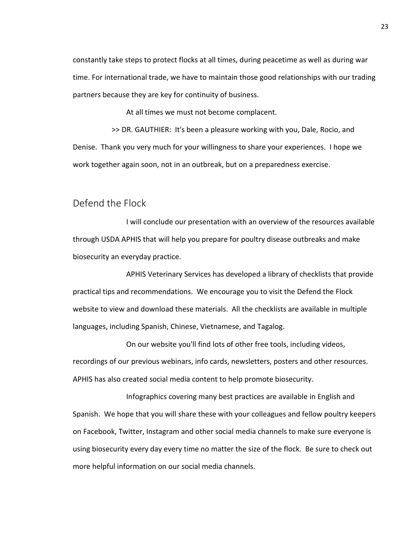constantly take steps to protect flocks at all times, during peacetime as well as during war time. For international trade, we have to maintain those good relationships with our trading partners because they are key for continuity of business.

At all times we must not become complacent.

>> DR. GAUTHIER: It's been a pleasure working with you, Dale, Rocio, and Denise. Thank you very much for your willingness to share your experiences. I hope we work together again soon, not in an outbreak, but on a preparedness exercise.

# Defend the Flock

I will conclude our presentation with an overview of the resources available through USDA APHIS that will help you prepare for poultry disease outbreaks and make biosecurity an everyday practice.

APHIS Veterinary Services has developed a library of checklists that provide practical tips and recommendations. We encourage you to visit the Defend the Flock website to view and download these materials. All the checklists are available in multiple languages, including Spanish, Chinese, Vietnamese, and Tagalog.

On our website you'll find lots of other free tools, including videos, recordings of our previous webinars, info cards, newsletters, posters and other resources. APHIS has also created social media content to help promote biosecurity.

Infographics covering many best practices are available in English and Spanish. We hope that you will share these with your colleagues and fellow poultry keepers on Facebook, Twitter, Instagram and other social media channels to make sure everyone is using biosecurity every day every time no matter the size of the flock. Be sure to check out more helpful information on our social media channels.